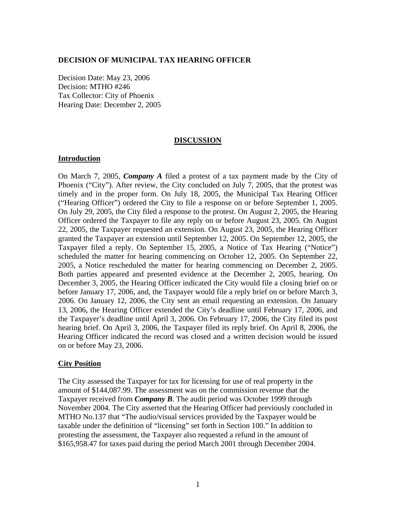#### **DECISION OF MUNICIPAL TAX HEARING OFFICER**

Decision Date: May 23, 2006 Decision: MTHO #246 Tax Collector: City of Phoenix Hearing Date: December 2, 2005

### **DISCUSSION**

### **Introduction**

On March 7, 2005, *Company A* filed a protest of a tax payment made by the City of Phoenix ("City"). After review, the City concluded on July 7, 2005, that the protest was timely and in the proper form. On July 18, 2005, the Municipal Tax Hearing Officer ("Hearing Officer") ordered the City to file a response on or before September 1, 2005. On July 29, 2005, the City filed a response to the protest. On August 2, 2005, the Hearing Officer ordered the Taxpayer to file any reply on or before August 23, 2005. On August 22, 2005, the Taxpayer requested an extension. On August 23, 2005, the Hearing Officer granted the Taxpayer an extension until September 12, 2005. On September 12, 2005, the Taxpayer filed a reply. On September 15, 2005, a Notice of Tax Hearing ("Notice") scheduled the matter for hearing commencing on October 12, 2005. On September 22, 2005, a Notice rescheduled the matter for hearing commencing on December 2, 2005. Both parties appeared and presented evidence at the December 2, 2005, hearing. On December 3, 2005, the Hearing Officer indicated the City would file a closing brief on or before January 17, 2006, and, the Taxpayer would file a reply brief on or before March 3, 2006. On January 12, 2006, the City sent an email requesting an extension. On January 13, 2006, the Hearing Officer extended the City's deadline until February 17, 2006, and the Taxpayer's deadline until April 3, 2006. On February 17, 2006, the City filed its post hearing brief. On April 3, 2006, the Taxpayer filed its reply brief. On April 8, 2006, the Hearing Officer indicated the record was closed and a written decision would be issued on or before May 23, 2006.

## **City Position**

The City assessed the Taxpayer for tax for licensing for use of real property in the amount of \$144,087.99. The assessment was on the commission revenue that the Taxpayer received from *Company B*. The audit period was October 1999 through November 2004. The City asserted that the Hearing Officer had previously concluded in MTHO No.137 that "The audio/visual services provided by the Taxpayer would be taxable under the definition of "licensing" set forth in Section 100." In addition to protesting the assessment, the Taxpayer also requested a refund in the amount of \$165,958.47 for taxes paid during the period March 2001 through December 2004.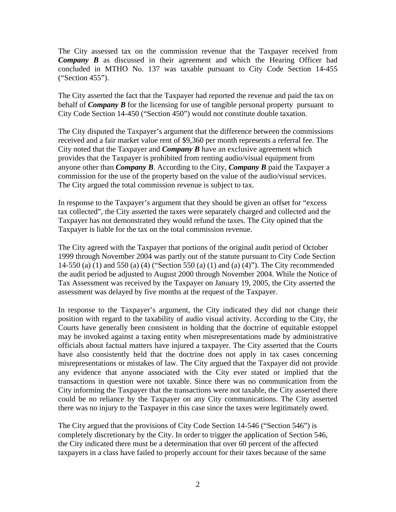The City assessed tax on the commission revenue that the Taxpayer received from **Company B** as discussed in their agreement and which the Hearing Officer had concluded in MTHO No. 137 was taxable pursuant to City Code Section 14-455 ("Section 455").

The City asserted the fact that the Taxpayer had reported the revenue and paid the tax on behalf of *Company B* for the licensing for use of tangible personal property pursuant to City Code Section 14-450 ("Section 450") would not constitute double taxation.

The City disputed the Taxpayer's argument that the difference between the commissions received and a fair market value rent of \$9,360 per month represents a referral fee. The City noted that the Taxpayer and *Company B* have an exclusive agreement which provides that the Taxpayer is prohibited from renting audio/visual equipment from anyone other than *Company B*. According to the City, *Company B* paid the Taxpayer a commission for the use of the property based on the value of the audio/visual services. The City argued the total commission revenue is subject to tax.

In response to the Taxpayer's argument that they should be given an offset for "excess tax collected", the City asserted the taxes were separately charged and collected and the Taxpayer has not demonstrated they would refund the taxes. The City opined that the Taxpayer is liable for the tax on the total commission revenue.

The City agreed with the Taxpayer that portions of the original audit period of October 1999 through November 2004 was partly out of the statute pursuant to City Code Section 14-550 (a) (1) and 550 (a) (4) ("Section 550 (a) (1) and (a) (4)"). The City recommended the audit period be adjusted to August 2000 through November 2004. While the Notice of Tax Assessment was received by the Taxpayer on January 19, 2005, the City asserted the assessment was delayed by five months at the request of the Taxpayer.

In response to the Taxpayer's argument, the City indicated they did not change their position with regard to the taxability of audio visual activity. According to the City, the Courts have generally been consistent in holding that the doctrine of equitable estoppel may be invoked against a taxing entity when misrepresentations made by administrative officials about factual matters have injured a taxpayer. The City asserted that the Courts have also consistently held that the doctrine does not apply in tax cases concerning misrepresentations or mistakes of law. The City argued that the Taxpayer did not provide any evidence that anyone associated with the City ever stated or implied that the transactions in question were not taxable. Since there was no communication from the City informing the Taxpayer that the transactions were not taxable, the City asserted there could be no reliance by the Taxpayer on any City communications. The City asserted there was no injury to the Taxpayer in this case since the taxes were legitimately owed.

The City argued that the provisions of City Code Section 14-546 ("Section 546") is completely discretionary by the City. In order to trigger the application of Section 546, the City indicated there must be a determination that over 60 percent of the affected taxpayers in a class have failed to properly account for their taxes because of the same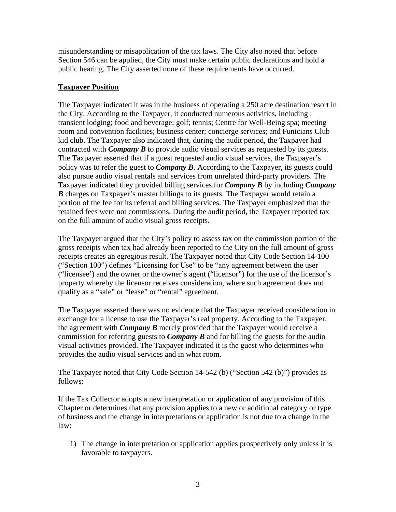misunderstanding or misapplication of the tax laws. The City also noted that before Section 546 can be applied, the City must make certain public declarations and hold a public hearing. The City asserted none of these requirements have occurred.

# **Taxpayer Position**

The Taxpayer indicated it was in the business of operating a 250 acre destination resort in the City. According to the Taxpayer, it conducted numerous activities, including : transient lodging; food and beverage; golf; tennis; Centre for Well-Being spa; meeting room and convention facilities; business center; concierge services; and Funicians Club kid club. The Taxpayer also indicated that, during the audit period, the Taxpayer had contracted with *Company B* to provide audio visual services as requested by its guests. The Taxpayer asserted that if a guest requested audio visual services, the Taxpayer's policy was to refer the guest to *Company B*. According to the Taxpayer, its guests could also pursue audio visual rentals and services from unrelated third-party providers. The Taxpayer indicated they provided billing services for *Company B* by including *Company B* charges on Taxpayer's master billings to its guests. The Taxpayer would retain a portion of the fee for its referral and billing services. The Taxpayer emphasized that the retained fees were not commissions. During the audit period, the Taxpayer reported tax on the full amount of audio visual gross receipts.

The Taxpayer argued that the City's policy to assess tax on the commission portion of the gross receipts when tax had already been reported to the City on the full amount of gross receipts creates an egregious result. The Taxpayer noted that City Code Section 14-100 ("Section 100") defines "Licensing for Use" to be "any agreement between the user ("licensee') and the owner or the owner's agent ("licensor") for the use of the licensor's property whereby the licensor receives consideration, where such agreement does not qualify as a "sale" or "lease" or "rental" agreement.

The Taxpayer asserted there was no evidence that the Taxpayer received consideration in exchange for a license to use the Taxpayer's real property. According to the Taxpayer, the agreement with *Company B* merely provided that the Taxpayer would receive a commission for referring guests to *Company B* and for billing the guests for the audio visual activities provided. The Taxpayer indicated it is the guest who determines who provides the audio visual services and in what room.

The Taxpayer noted that City Code Section 14-542 (b) ("Section 542 (b)") provides as follows:

If the Tax Collector adopts a new interpretation or application of any provision of this Chapter or determines that any provision applies to a new or additional category or type of business and the change in interpretations or application is not due to a change in the law:

1) The change in interpretation or application applies prospectively only unless it is favorable to taxpayers.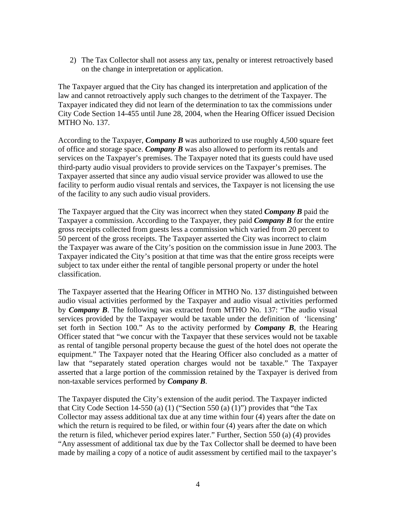2) The Tax Collector shall not assess any tax, penalty or interest retroactively based on the change in interpretation or application.

The Taxpayer argued that the City has changed its interpretation and application of the law and cannot retroactively apply such changes to the detriment of the Taxpayer. The Taxpayer indicated they did not learn of the determination to tax the commissions under City Code Section 14-455 until June 28, 2004, when the Hearing Officer issued Decision MTHO No. 137.

According to the Taxpayer, *Company B* was authorized to use roughly 4,500 square feet of office and storage space. *Company B* was also allowed to perform its rentals and services on the Taxpayer's premises. The Taxpayer noted that its guests could have used third-party audio visual providers to provide services on the Taxpayer's premises. The Taxpayer asserted that since any audio visual service provider was allowed to use the facility to perform audio visual rentals and services, the Taxpayer is not licensing the use of the facility to any such audio visual providers.

The Taxpayer argued that the City was incorrect when they stated *Company B* paid the Taxpayer a commission. According to the Taxpayer, they paid *Company B* for the entire gross receipts collected from guests less a commission which varied from 20 percent to 50 percent of the gross receipts. The Taxpayer asserted the City was incorrect to claim the Taxpayer was aware of the City's position on the commission issue in June 2003. The Taxpayer indicated the City's position at that time was that the entire gross receipts were subject to tax under either the rental of tangible personal property or under the hotel classification.

The Taxpayer asserted that the Hearing Officer in MTHO No. 137 distinguished between audio visual activities performed by the Taxpayer and audio visual activities performed by *Company B*. The following was extracted from MTHO No. 137: "The audio visual services provided by the Taxpayer would be taxable under the definition of 'licensing' set forth in Section 100." As to the activity performed by *Company B*, the Hearing Officer stated that "we concur with the Taxpayer that these services would not be taxable as rental of tangible personal property because the guest of the hotel does not operate the equipment." The Taxpayer noted that the Hearing Officer also concluded as a matter of law that "separately stated operation charges would not be taxable." The Taxpayer asserted that a large portion of the commission retained by the Taxpayer is derived from non-taxable services performed by *Company B*.

The Taxpayer disputed the City's extension of the audit period. The Taxpayer indicted that City Code Section 14-550 (a) (1) ("Section 550 (a) (1)") provides that "the Tax Collector may assess additional tax due at any time within four (4) years after the date on which the return is required to be filed, or within four  $(4)$  years after the date on which the return is filed, whichever period expires later." Further, Section 550 (a) (4) provides "Any assessment of additional tax due by the Tax Collector shall be deemed to have been made by mailing a copy of a notice of audit assessment by certified mail to the taxpayer's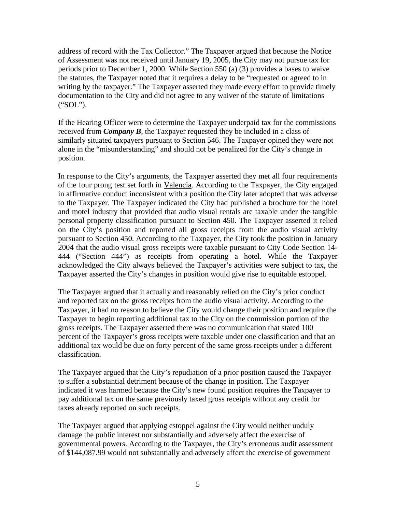address of record with the Tax Collector." The Taxpayer argued that because the Notice of Assessment was not received until January 19, 2005, the City may not pursue tax for periods prior to December 1, 2000. While Section 550 (a) (3) provides a bases to waive the statutes, the Taxpayer noted that it requires a delay to be "requested or agreed to in writing by the taxpayer." The Taxpayer asserted they made every effort to provide timely documentation to the City and did not agree to any waiver of the statute of limitations ("SOL").

If the Hearing Officer were to determine the Taxpayer underpaid tax for the commissions received from *Company B*, the Taxpayer requested they be included in a class of similarly situated taxpayers pursuant to Section 546. The Taxpayer opined they were not alone in the "misunderstanding" and should not be penalized for the City's change in position.

In response to the City's arguments, the Taxpayer asserted they met all four requirements of the four prong test set forth in Valencia. According to the Taxpayer, the City engaged in affirmative conduct inconsistent with a position the City later adopted that was adverse to the Taxpayer. The Taxpayer indicated the City had published a brochure for the hotel and motel industry that provided that audio visual rentals are taxable under the tangible personal property classification pursuant to Section 450. The Taxpayer asserted it relied on the City's position and reported all gross receipts from the audio visual activity pursuant to Section 450. According to the Taxpayer, the City took the position in January 2004 that the audio visual gross receipts were taxable pursuant to City Code Section 14- 444 ("Section 444") as receipts from operating a hotel. While the Taxpayer acknowledged the City always believed the Taxpayer's activities were subject to tax, the Taxpayer asserted the City's changes in position would give rise to equitable estoppel.

The Taxpayer argued that it actually and reasonably relied on the City's prior conduct and reported tax on the gross receipts from the audio visual activity. According to the Taxpayer, it had no reason to believe the City would change their position and require the Taxpayer to begin reporting additional tax to the City on the commission portion of the gross receipts. The Taxpayer asserted there was no communication that stated 100 percent of the Taxpayer's gross receipts were taxable under one classification and that an additional tax would be due on forty percent of the same gross receipts under a different classification.

The Taxpayer argued that the City's repudiation of a prior position caused the Taxpayer to suffer a substantial detriment because of the change in position. The Taxpayer indicated it was harmed because the City's new found position requires the Taxpayer to pay additional tax on the same previously taxed gross receipts without any credit for taxes already reported on such receipts.

The Taxpayer argued that applying estoppel against the City would neither unduly damage the public interest nor substantially and adversely affect the exercise of governmental powers. According to the Taxpayer, the City's erroneous audit assessment of \$144,087.99 would not substantially and adversely affect the exercise of government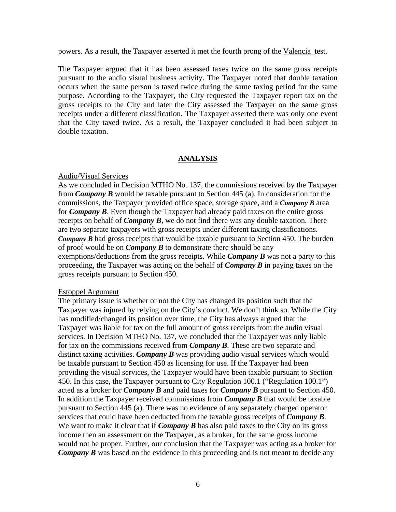powers. As a result, the Taxpayer asserted it met the fourth prong of the Valencia test.

The Taxpayer argued that it has been assessed taxes twice on the same gross receipts pursuant to the audio visual business activity. The Taxpayer noted that double taxation occurs when the same person is taxed twice during the same taxing period for the same purpose. According to the Taxpayer, the City requested the Taxpayer report tax on the gross receipts to the City and later the City assessed the Taxpayer on the same gross receipts under a different classification. The Taxpayer asserted there was only one event that the City taxed twice. As a result, the Taxpayer concluded it had been subject to double taxation.

#### **ANALYSIS**

#### Audio/Visual Services

As we concluded in Decision MTHO No. 137, the commissions received by the Taxpayer from *Company B* would be taxable pursuant to Section 445 (a). In consideration for the commissions, the Taxpayer provided office space, storage space, and a *Company B* area for *Company B*. Even though the Taxpayer had already paid taxes on the entire gross receipts on behalf of *Company B*, we do not find there was any double taxation. There are two separate taxpayers with gross receipts under different taxing classifications. *Company B* had gross receipts that would be taxable pursuant to Section 450. The burden of proof would be on *Company B* to demonstrate there should be any exemptions/deductions from the gross receipts. While *Company B* was not a party to this proceeding, the Taxpayer was acting on the behalf of *Company B* in paying taxes on the gross receipts pursuant to Section 450.

#### Estoppel Argument

The primary issue is whether or not the City has changed its position such that the Taxpayer was injured by relying on the City's conduct. We don't think so. While the City has modified/changed its position over time, the City has always argued that the Taxpayer was liable for tax on the full amount of gross receipts from the audio visual services. In Decision MTHO No. 137, we concluded that the Taxpayer was only liable for tax on the commissions received from *Company B*. These are two separate and distinct taxing activities. *Company B* was providing audio visual services which would be taxable pursuant to Section 450 as licensing for use. If the Taxpayer had been providing the visual services, the Taxpayer would have been taxable pursuant to Section 450. In this case, the Taxpayer pursuant to City Regulation 100.1 ("Regulation 100.1") acted as a broker for *Company B* and paid taxes for *Company B* pursuant to Section 450. In addition the Taxpayer received commissions from *Company B* that would be taxable pursuant to Section 445 (a). There was no evidence of any separately charged operator services that could have been deducted from the taxable gross receipts of *Company B*. We want to make it clear that if *Company B* has also paid taxes to the City on its gross income then an assessment on the Taxpayer, as a broker, for the same gross income would not be proper. Further, our conclusion that the Taxpayer was acting as a broker for *Company B* was based on the evidence in this proceeding and is not meant to decide any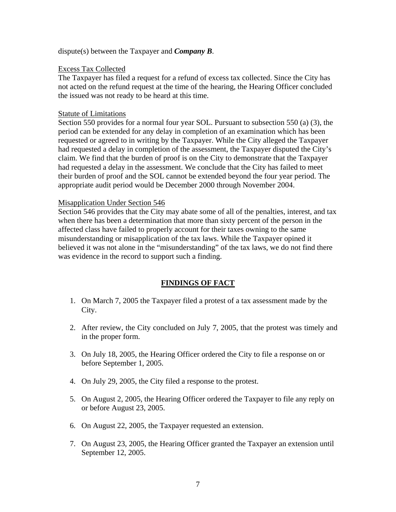### dispute(s) between the Taxpayer and *Company B*.

### Excess Tax Collected

The Taxpayer has filed a request for a refund of excess tax collected. Since the City has not acted on the refund request at the time of the hearing, the Hearing Officer concluded the issued was not ready to be heard at this time.

### Statute of Limitations

Section 550 provides for a normal four year SOL. Pursuant to subsection 550 (a) (3), the period can be extended for any delay in completion of an examination which has been requested or agreed to in writing by the Taxpayer. While the City alleged the Taxpayer had requested a delay in completion of the assessment, the Taxpayer disputed the City's claim. We find that the burden of proof is on the City to demonstrate that the Taxpayer had requested a delay in the assessment. We conclude that the City has failed to meet their burden of proof and the SOL cannot be extended beyond the four year period. The appropriate audit period would be December 2000 through November 2004.

## Misapplication Under Section 546

Section 546 provides that the City may abate some of all of the penalties, interest, and tax when there has been a determination that more than sixty percent of the person in the affected class have failed to properly account for their taxes owning to the same misunderstanding or misapplication of the tax laws. While the Taxpayer opined it believed it was not alone in the "misunderstanding" of the tax laws, we do not find there was evidence in the record to support such a finding.

## **FINDINGS OF FACT**

- 1. On March 7, 2005 the Taxpayer filed a protest of a tax assessment made by the City.
- 2. After review, the City concluded on July 7, 2005, that the protest was timely and in the proper form.
- 3. On July 18, 2005, the Hearing Officer ordered the City to file a response on or before September 1, 2005.
- 4. On July 29, 2005, the City filed a response to the protest.
- 5. On August 2, 2005, the Hearing Officer ordered the Taxpayer to file any reply on or before August 23, 2005.
- 6. On August 22, 2005, the Taxpayer requested an extension.
- 7. On August 23, 2005, the Hearing Officer granted the Taxpayer an extension until September 12, 2005.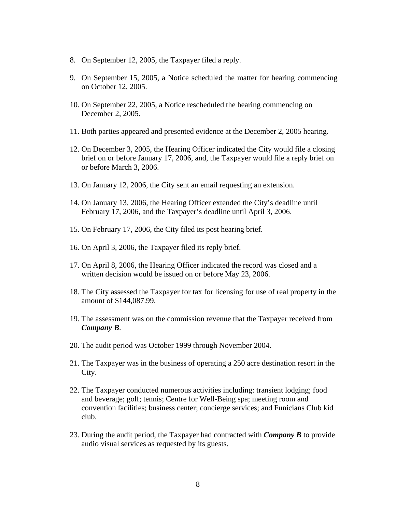- 8. On September 12, 2005, the Taxpayer filed a reply.
- 9. On September 15, 2005, a Notice scheduled the matter for hearing commencing on October 12, 2005.
- 10. On September 22, 2005, a Notice rescheduled the hearing commencing on December 2, 2005.
- 11. Both parties appeared and presented evidence at the December 2, 2005 hearing.
- 12. On December 3, 2005, the Hearing Officer indicated the City would file a closing brief on or before January 17, 2006, and, the Taxpayer would file a reply brief on or before March 3, 2006.
- 13. On January 12, 2006, the City sent an email requesting an extension.
- 14. On January 13, 2006, the Hearing Officer extended the City's deadline until February 17, 2006, and the Taxpayer's deadline until April 3, 2006.
- 15. On February 17, 2006, the City filed its post hearing brief.
- 16. On April 3, 2006, the Taxpayer filed its reply brief.
- 17. On April 8, 2006, the Hearing Officer indicated the record was closed and a written decision would be issued on or before May 23, 2006.
- 18. The City assessed the Taxpayer for tax for licensing for use of real property in the amount of \$144,087.99.
- 19. The assessment was on the commission revenue that the Taxpayer received from *Company B*.
- 20. The audit period was October 1999 through November 2004.
- 21. The Taxpayer was in the business of operating a 250 acre destination resort in the City.
- 22. The Taxpayer conducted numerous activities including: transient lodging; food and beverage; golf; tennis; Centre for Well-Being spa; meeting room and convention facilities; business center; concierge services; and Funicians Club kid club.
- 23. During the audit period, the Taxpayer had contracted with *Company B* to provide audio visual services as requested by its guests.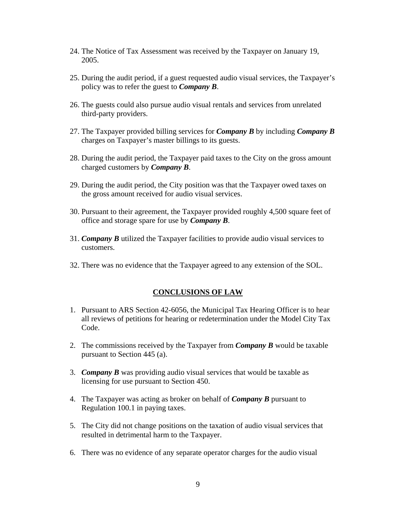- 24. The Notice of Tax Assessment was received by the Taxpayer on January 19, 2005.
- 25. During the audit period, if a guest requested audio visual services, the Taxpayer's policy was to refer the guest to *Company B*.
- 26. The guests could also pursue audio visual rentals and services from unrelated third-party providers.
- 27. The Taxpayer provided billing services for *Company B* by including *Company B*  charges on Taxpayer's master billings to its guests.
- 28. During the audit period, the Taxpayer paid taxes to the City on the gross amount charged customers by *Company B*.
- 29. During the audit period, the City position was that the Taxpayer owed taxes on the gross amount received for audio visual services.
- 30. Pursuant to their agreement, the Taxpayer provided roughly 4,500 square feet of office and storage spare for use by *Company B*.
- 31. *Company B* utilized the Taxpayer facilities to provide audio visual services to customers.
- 32. There was no evidence that the Taxpayer agreed to any extension of the SOL.

#### **CONCLUSIONS OF LAW**

- 1. Pursuant to ARS Section 42-6056, the Municipal Tax Hearing Officer is to hear all reviews of petitions for hearing or redetermination under the Model City Tax Code.
- 2. The commissions received by the Taxpayer from *Company B* would be taxable pursuant to Section 445 (a).
- 3. *Company B* was providing audio visual services that would be taxable as licensing for use pursuant to Section 450.
- 4. The Taxpayer was acting as broker on behalf of *Company B* pursuant to Regulation 100.1 in paying taxes.
- 5. The City did not change positions on the taxation of audio visual services that resulted in detrimental harm to the Taxpayer.
- 6. There was no evidence of any separate operator charges for the audio visual